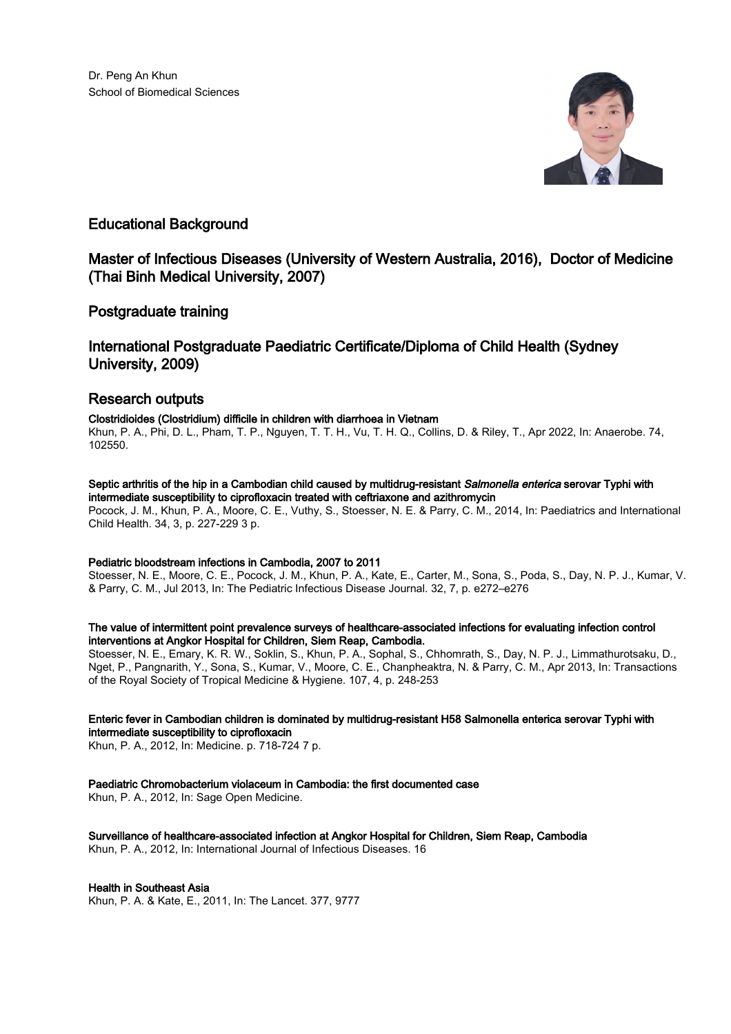

# Educational Background

# Master of Infectious Diseases (University of Western Australia, 2016), Doctor of Medicine (Thai Binh Medical University, 2007)

### Postgraduate training

# International Postgraduate Paediatric Certificate/Diploma of Child Health (Sydney University, 2009)

# Research outputs

### Clostridioides (Clostridium) difficile in children with diarrhoea in Vietnam

Khun, P. A., Phi, D. L., Pham, T. P., Nguyen, T. T. H., Vu, T. H. Q., Collins, D. & Riley, T., Apr 2022, In: Anaerobe. 74, 102550.

### Septic arthritis of the hip in a Cambodian child caused by multidrug-resistant Salmonella enterica serovar Typhi with intermediate susceptibility to ciprofloxacin treated with ceftriaxone and azithromycin

Pocock, J. M., Khun, P. A., Moore, C. E., Vuthy, S., Stoesser, N. E. & Parry, C. M., 2014, In: Paediatrics and International Child Health. 34, 3, p. 227-229 3 p.

#### Pediatric bloodstream infections in Cambodia, 2007 to 2011

Stoesser, N. E., Moore, C. E., Pocock, J. M., Khun, P. A., Kate, E., Carter, M., Sona, S., Poda, S., Day, N. P. J., Kumar, V. & Parry, C. M., Jul 2013, In: The Pediatric Infectious Disease Journal. 32, 7, p. e272–e276

#### The value of intermittent point prevalence surveys of healthcare-associated infections for evaluating infection control interventions at Angkor Hospital for Children, Siem Reap, Cambodia.

Stoesser, N. E., Emary, K. R. W., Soklin, S., Khun, P. A., Sophal, S., Chhomrath, S., Day, N. P. J., Limmathurotsaku, D., Nget, P., Pangnarith, Y., Sona, S., Kumar, V., Moore, C. E., Chanpheaktra, N. & Parry, C. M., Apr 2013, In: Transactions of the Royal Society of Tropical Medicine & Hygiene. 107, 4, p. 248-253

#### Enteric fever in Cambodian children is dominated by multidrug-resistant H58 Salmonella enterica serovar Typhi with intermediate susceptibility to ciprofloxacin

Khun, P. A., 2012, In: Medicine. p. 718-724 7 p.

### Paediatric Chromobacterium violaceum in Cambodia: the first documented case

Khun, P. A., 2012, In: Sage Open Medicine.

Surveillance of healthcare-associated infection at Angkor Hospital for Children, Siem Reap, Cambodia Khun, P. A., 2012, In: International Journal of Infectious Diseases. 16

#### Health in Southeast Asia

Khun, P. A. & Kate, E., 2011, In: The Lancet. 377, 9777